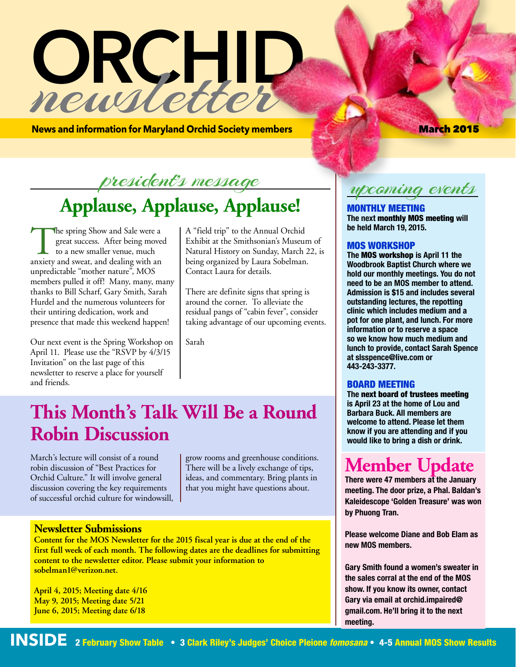# RGHID newsletter

**News and information for Maryland Orchid Society members March 2015** March 2015

# president's message **Applause, Applause, Applause!**

The spring Show and Sale were a<br>great success. After being move<br>to a new smaller venue, much<br>anxiety and sweat, and dealing with an great success. After being moved to a new smaller venue, much anxiety and sweat, and dealing with an unpredictable "mother nature", MOS members pulled it off! Many, many, many thanks to Bill Scharf, Gary Smith, Sarah Hurdel and the numerous volunteers for their untiring dedication, work and presence that made this weekend happen!

Our next event is the Spring Workshop on April 11. Please use the "RSVP by 4/3/15 Invitation" on the last page of this newsletter to reserve a place for yourself and friends.

A "field trip" to the Annual Orchid Exhibit at the Smithsonian's Museum of Natural History on Sunday, March 22, is being organized by Laura Sobelman. Contact Laura for details.

There are definite signs that spring is around the corner. To alleviate the residual pangs of "cabin fever", consider taking advantage of our upcoming events.

Sarah

# **This Month's Talk Will Be a Round Robin Discussion**

March's lecture will consist of a round robin discussion of "Best Practices for Orchid Culture." It will involve general discussion covering the key requirements of successful orchid culture for windowsill, grow rooms and greenhouse conditions. There will be a lively exchange of tips, ideas, and commentary. Bring plants in that you might have questions about.

### **Newsletter Submissions**

**Content for the MOS Newsletter for the 2015 fiscal year is due at the end of the first full week of each month. The following dates are the deadlines for submitting content to the newsletter editor. Please submit your information to sobelman1@verizon.net.** 

**April 4, 2015; Meeting date 4/16 May 9, 2015; Meeting date 5/21 June 6, 2015; Meeting date 6/18**

upcoming events

MONTHLY MEETING **The next** monthly MOS meeting **will be held March 19, 2015.** 

### MOS WORKSHOP

**The** MOS workshop **is April 11 the Woodbrook Baptist Church where we hold our monthly meetings. You do not need to be an MOS member to attend. Admission is \$15 and includes several outstanding lectures, the repotting clinic which includes medium and a pot for one plant, and lunch. For more information or to reserve a space so we know how much medium and lunch to provide, contact Sarah Spence at slsspence@live.com or 443-243-3377.**

### BOARD MEETING

**The** next board of trustees meeting **is April 23 at the home of Lou and Barbara Buck. All members are welcome to attend. Please let them know if you are attending and if you would like to bring a dish or drink.**

# **Member Update**

**There were 47 members at the January meeting. The door prize, a Phal. Baldan's Kaleidescope 'Golden Treasure' was won by Phuong Tran.**

**Please welcome Diane and Bob Elam as new MOS members.**

**Gary Smith found a women's sweater in the sales corral at the end of the MOS show. If you know its owner, contact Gary via email at orchid.impaired@ gmail.com. He'll bring it to the next meeting.**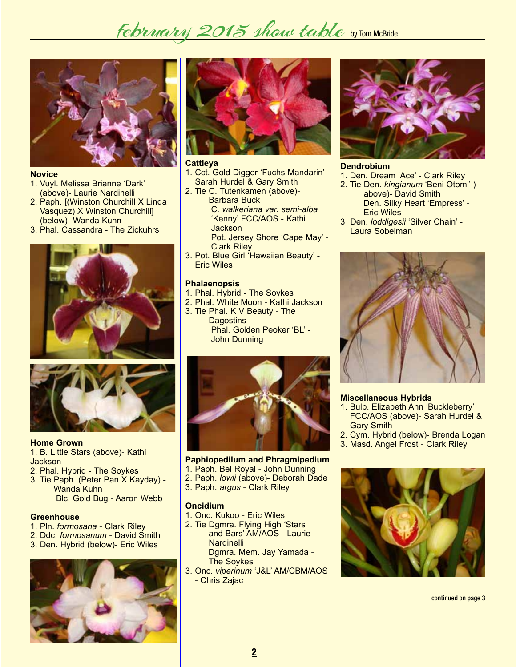# february 2015 show table by TOM MCBride



### **Novice**

- 1. Vuyl. Melissa Brianne 'Dark' (above)- Laurie Nardinelli
- 2. Paph. [(Winston Churchill X Linda Vasquez) X Winston Churchill] (below)- Wanda Kuhn
- 3. Phal. Cassandra The Zickuhrs





### **Home Grown** 1. B. Little Stars (above)- Kathi Jackson

- 2. Phal. Hybrid The Soykes
- 3. Tie Paph. (Peter Pan X Kayday) Wanda Kuhn Blc. Gold Bug - Aaron Webb

### **Greenhouse**

- 1. Pln. *formosana* Clark Riley
- 2. Ddc. *formosanum* David Smith
- 3. Den. Hybrid (below)- Eric Wiles





### **Cattleya**

- 1. Cct. Gold Digger 'Fuchs Mandarin' Sarah Hurdel & Gary Smith
- 2. Tie C. Tutenkamen (above)- Barbara Buck C. *walkeriana var. semi-alba* 'Kenny' FCC/AOS - Kathi **Jackson**  Pot. Jersey Shore 'Cape May' - Clark Riley
- 3. Pot. Blue Girl 'Hawaiian Beauty' Eric Wiles

### **Phalaenopsis**

- 1. Phal. Hybrid The Soykes
- 2. Phal. White Moon Kathi Jackson
- 3. Tie Phal. K V Beauty The **Dagostins**  Phal. Golden Peoker 'BL' - John Dunning



### **Paphiopedilum and Phragmipedium**

- 1. Paph. Bel Royal John Dunning
- 2. Paph. *lowii* (above)- Deborah Dade
- 3. Paph. *argus* Clark Riley

### **Oncidium**

- 1. Onc. Kukoo Eric Wiles
- 2. Tie Dgmra. Flying High 'Stars and Bars' AM/AOS - Laurie **Nardinelli** Dgmra. Mem. Jay Yamada -
- The Soykes 3. Onc. *viperinum* 'J&L' AM/CBM/AOS
- Chris Zajac



### **Dendrobium**

- 1. Den. Dream 'Ace' Clark Riley
- 2. Tie Den. *kingianum* 'Beni Otomi' ) above)- David Smith Den. Silky Heart 'Empress' - Eric Wiles
- 3 Den. *loddigesii* 'Silver Chain' Laura Sobelman



### **Miscellaneous Hybrids**

- 1. Bulb. Elizabeth Ann 'Buckleberry' FCC/AOS (above)- Sarah Hurdel & Gary Smith
- 2. Cym. Hybrid (below)- Brenda Logan
- 3. Masd. Angel Frost Clark Riley



continued on page 3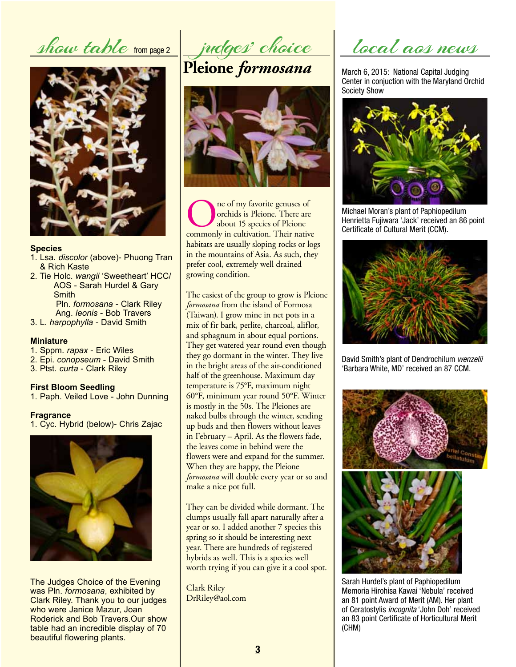show table from page 2



### **Species**

- 1. Lsa. *discolor* (above)- Phuong Tran & Rich Kaste
- 2. Tie Holc. *wangii* 'Sweetheart' HCC/ AOS - Sarah Hurdel & Gary **Smith**  Pln. *formosana* - Clark Riley Ang. *leonis* - Bob Travers
- 3. L. *harpophylla* David Smith

### **Miniature**

- 1. Sppm. *rapax* Eric Wiles
- 2. Epi. *conopseum* David Smith
- 3. Ptst. *curta* Clark Riley

### **First Bloom Seedling**

1. Paph. Veiled Love - John Dunning

### **Fragrance**

1. Cyc. Hybrid (below)- Chris Zajac



The Judges Choice of the Evening was Pln. *formosana*, exhibited by Clark Riley. Thank you to our judges who were Janice Mazur, Joan Roderick and Bob Travers.Our show table had an incredible display of 70 beautiful flowering plants.

judges' choice

**Pleione** *formosana*



**Conduct** of my favorite genuses of orchids is Pleione. There are about 15 species of Pleione commonly in cultivation. Their native orchids is Pleione. There are about 15 species of Pleione habitats are usually sloping rocks or logs in the mountains of Asia. As such, they prefer cool, extremely well drained growing condition.

The easiest of the group to grow is Pleione *formosana* from the island of Formosa (Taiwan). I grow mine in net pots in a mix of fir bark, perlite, charcoal, aliflor, and sphagnum in about equal portions. They get watered year round even though they go dormant in the winter. They live in the bright areas of the air-conditioned half of the greenhouse. Maximum day temperature is 75°F, maximum night 60°F, minimum year round 50°F. Winter is mostly in the 50s. The Pleiones are naked bulbs through the winter, sending up buds and then flowers without leaves in February – April. As the flowers fade, the leaves come in behind were the flowers were and expand for the summer. When they are happy, the Pleione *formosana* will double every year or so and make a nice pot full.

They can be divided while dormant. The clumps usually fall apart naturally after a year or so. I added another 7 species this spring so it should be interesting next year. There are hundreds of registered hybrids as well. This is a species well worth trying if you can give it a cool spot.

Clark Riley DrRiley@aol.com

local aos news

March 6, 2015: National Capital Judging Center in conjuction with the Maryland Orchid Society Show



Michael Moran's plant of Paphiopedilum Henrietta Fujiwara 'Jack' received an 86 point Certificate of Cultural Merit (CCM).



David Smith's plant of Dendrochilum *wenzelii* 'Barbara White, MD' received an 87 CCM.



Sarah Hurdel's plant of Paphiopedilum Memoria Hirohisa Kawai 'Nebula' received an 81 point Award of Merit (AM). Her plant of Ceratostylis *incognita* 'John Doh' received an 83 point Certificate of Horticultural Merit (CHM)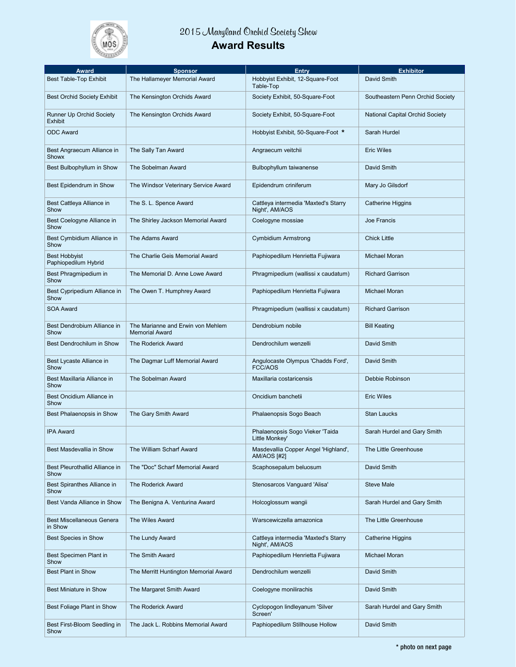

### **2015 Maryland Orchid Society Show Award Results**

| <b>Award</b>                                      | Sponsor                                                    | Entry                                                      | <b>Exhibitor</b>                 |
|---------------------------------------------------|------------------------------------------------------------|------------------------------------------------------------|----------------------------------|
| Best Table-Top Exhibit                            | The Hallameyer Memorial Award                              | Hobbyist Exhibit, 12-Square-Foot<br>Table-Top              | David Smith                      |
| <b>Best Orchid Society Exhibit</b>                | The Kensington Orchids Award                               | Society Exhibit, 50-Square-Foot                            | Southeastern Penn Orchid Society |
| <b>Runner Up Orchid Society</b><br><b>Exhibit</b> | The Kensington Orchids Award                               | Society Exhibit, 50-Square-Foot                            | National Capital Orchid Society  |
| <b>ODC Award</b>                                  |                                                            | Hobbyist Exhibit, 50-Square-Foot *                         | Sarah Hurdel                     |
| Best Angraecum Alliance in<br>Showx               | The Sally Tan Award                                        | Angraecum veitchii                                         | <b>Eric Wiles</b>                |
| Best Bulbophyllum in Show                         | The Sobelman Award                                         | Bulbophyllum taiwanense                                    | David Smith                      |
| Best Epidendrum in Show                           | The Windsor Veterinary Service Award                       | Epidendrum criniferum                                      | Mary Jo Gilsdorf                 |
| Best Cattleya Alliance in<br>Show                 | The S. L. Spence Award                                     | Cattleya intermedia 'Maxted's Starry<br>Night', AM/AOS     | Catherine Higgins                |
| Best Coelogyne Alliance in<br>Show                | The Shirley Jackson Memorial Award                         | Coelogyne mossiae                                          | Joe Francis                      |
| Best Cymbidium Alliance in<br>Show                | The Adams Award                                            | Cymbidium Armstrong                                        | <b>Chick Little</b>              |
| <b>Best Hobbyist</b><br>Paphiopedilum Hybrid      | The Charlie Geis Memorial Award                            | Paphiopedilum Henrietta Fujiwara                           | Michael Moran                    |
| Best Phragmipedium in<br>Show                     | The Memorial D. Anne Lowe Award                            | Phragmipedium (wallissi x caudatum)                        | <b>Richard Garrison</b>          |
| Best Cypripedium Alliance in<br>Show              | The Owen T. Humphrey Award                                 | Paphiopedilum Henrietta Fujiwara                           | Michael Moran                    |
| <b>SOA Award</b>                                  |                                                            | Phragmipedium (wallissi x caudatum)                        | <b>Richard Garrison</b>          |
| Best Dendrobium Alliance in<br>Show               | The Marianne and Erwin von Mehlem<br><b>Memorial Award</b> | Dendrobium nobile                                          | <b>Bill Keating</b>              |
| Best Dendrochilum in Show                         | The Roderick Award                                         | Dendrochilum wenzelli                                      | David Smith                      |
| Best Lycaste Alliance in<br>Show                  | The Dagmar Luff Memorial Award                             | Angulocaste Olympus 'Chadds Ford',<br>FCC/AOS              | David Smith                      |
| Best Maxillaria Alliance in<br>Show               | The Sobelman Award                                         | Maxillaria costaricensis                                   | Debbie Robinson                  |
| Best Oncidium Alliance in<br>Show                 |                                                            | Oncidium banchetii                                         | Eric Wiles                       |
| Best Phalaenopsis in Show                         | The Gary Smith Award                                       | Phalaenopsis Sogo Beach                                    | <b>Stan Laucks</b>               |
| <b>IPA Award</b>                                  |                                                            | Phalaenopsis Sogo Vieker 'Taida<br>Little Monkev'          | Sarah Hurdel and Gary Smith      |
| Best Masdevallia in Show                          | The William Scharf Award                                   | Masdevallia Copper Angel 'Highland',<br><b>AM/AOS [#2]</b> | The Little Greenhouse            |
| Best Pleurothallid Alliance in<br>Show            | The "Doc" Scharf Memorial Award                            | Scaphosepalum beluosum                                     | David Smith                      |
| Best Spiranthes Alliance in<br>Show               | The Roderick Award                                         | Stenosarcos Vanguard 'Alisa'                               | <b>Steve Male</b>                |
| Best Vanda Alliance in Show                       | The Benigna A. Venturina Award                             | Holcoglossum wangii                                        | Sarah Hurdel and Gary Smith      |
| <b>Best Miscellaneous Genera</b><br>in Show       | The Wiles Award                                            | Warscewiczella amazonica                                   | The Little Greenhouse            |
| <b>Best Species in Show</b>                       | The Lundy Award                                            | Cattleya intermedia 'Maxted's Starry<br>Night', AM/AOS     | Catherine Higgins                |
| Best Specimen Plant in<br>Show                    | The Smith Award                                            | Paphiopedilum Henrietta Fujiwara                           | Michael Moran                    |
| <b>Best Plant in Show</b>                         | The Merritt Huntington Memorial Award                      | Dendrochilum wenzelli                                      | David Smith                      |
| Best Miniature in Show                            | The Margaret Smith Award                                   | Coelogyne monilirachis                                     | David Smith                      |
| Best Foliage Plant in Show                        | <b>The Roderick Award</b>                                  | Cyclopogon lindleyanum 'Silver<br>Screen'                  | Sarah Hurdel and Gary Smith      |
| Best First-Bloom Seedling in<br>Show              | The Jack L. Robbins Memorial Award                         | Paphiopedilum Stillhouse Hollow                            | David Smith                      |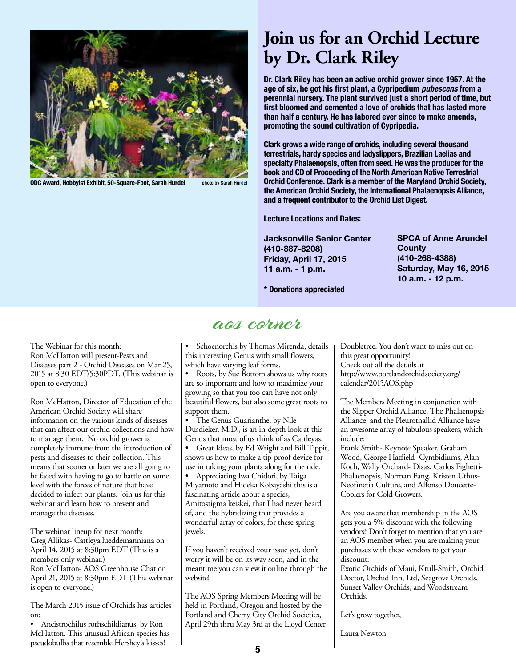

**ODC Award, Hobbyist Exhibit, 50-Square-Foot, Sarah Hurdel photo by Sarah Hurdel** 

## **Join us for an Orchid Lecture by Dr. Clark Riley**

**Dr. Clark Riley has been an active orchid grower since 1957. At the age of six, he got his first plant, a Cypripedium** *pubescens* **from a perennial nursery. The plant survived just a short period of time, but first bloomed and cemented a love of orchids that has lasted more than half a century. He has labored ever since to make amends, promoting the sound cultivation of Cypripedia.**

**Clark grows a wide range of orchids, including several thousand terrestrials, hardy species and ladyslippers, Brazilian Laelias and specialty Phalaenopsis, often from seed. He was the producer for the book and CD of Proceeding of the North American Native Terrestrial Orchid Conference. Clark is a member of the Maryland Orchid Society, the American Orchid Society, the International Phalaenopsis Alliance, and a frequent contributor to the Orchid List Digest.**

**Lecture Locations and Dates:**

**Jacksonville Senior Center (410-887-8208) Friday, April 17, 2015 11 a.m. - 1 p.m.**

**SPCA of Anne Arundel County (410-268-4388) Saturday, May 16, 2015 10 a.m. - 12 p.m.**

**\* Donations appreciated**

### aos corner

The Webinar for this month: Ron McHatton will present-Pests and Diseases part 2 - Orchid Diseases on Mar 25, 2015 at 8:30 EDT/5:30PDT. (This webinar is open to everyone.)

Ron McHatton, Director of Education of the American Orchid Society will share information on the various kinds of diseases that can affect our orchid collections and how to manage them. No orchid grower is completely immune from the introduction of pests and diseases to their collection. This means that sooner or later we are all going to be faced with having to go to battle on some level with the forces of nature that have decided to infect our plants. Join us for this webinar and learn how to prevent and manage the diseases.

The webinar lineup for next month: Greg Allikas- Cattleya lueddemanniana on April 14, 2015 at 8:30pm EDT (This is a members only webinar.) Ron McHatton- AOS Greenhouse Chat on April 21, 2015 at 8:30pm EDT (This webinar is open to everyone.)

The March 2015 issue of Orchids has articles on:

• Ancistrochilus rothschildianus, by Ron McHatton. This unusual African species has pseudobulbs that resemble Hershey's kisses!

Schoenorchis by Thomas Mirenda, details this interesting Genus with small flowers, which have varying leaf forms.

Roots, by Sue Bottom shows us why roots are so important and how to maximize your growing so that you too can have not only beautiful flowers, but also some great roots to support them.

• The Genus Guarianthe, by Nile Dusdieker, M.D., is an in-depth look at this Genus that most of us think of as Cattleyas.

Great Ideas, by Ed Wright and Bill Tippit, shows us how to make a tip-proof device for use in taking your plants along for the ride.

Appreciating Iwa Chidori, by Taiga Miyamoto and Hideka Kobayashi this is a fascinating article about a species, Amitostigma keiskei, that I had never heard of, and the hybridizing that provides a wonderful array of colors, for these spring jewels.

If you haven't received your issue yet, don't worry it will be on its way soon, and in the meantime you can view it online through the website!

The AOS Spring Members Meeting will be held in Portland, Oregon and hosted by the Portland and Cherry City Orchid Societies, April 29th thru May 3rd at the Lloyd Center Doubletree. You don't want to miss out on this great opportunity! Check out all the details at http://www.portlandorchidsociety.org/ calendar/2015AOS.php

The Members Meeting in conjunction with the Slipper Orchid Alliance, The Phalaenopsis Alliance, and the Pleurothallid Alliance have an awesome array of fabulous speakers, which include:

Frank Smith- Keynote Speaker, Graham Wood, George Hatfield- Cymbidiums, Alan Koch, Wally Orchard- Disas, Carlos Fighetti-Phalaenopsis, Norman Fang, Kristen Uthus-Neofinetia Culture, and Alfonso Doucette-Coolers for Cold Growers.

Are you aware that membership in the AOS gets you a 5% discount with the following vendors? Don't forget to mention that you are an AOS member when you are making your purchases with these vendors to get your discount:

Exotic Orchids of Maui, Krull-Smith, Orchid Doctor, Orchid Inn, Ltd, Seagrove Orchids, Sunset Valley Orchids, and Woodstream Orchids.

Let's grow together,

Laura Newton